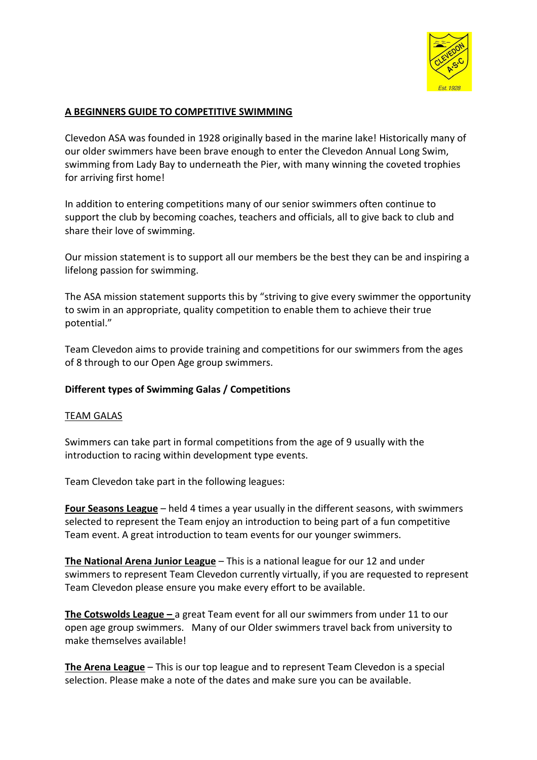

## **A BEGINNERS GUIDE TO COMPETITIVE SWIMMING**

Clevedon ASA was founded in 1928 originally based in the marine lake! Historically many of our older swimmers have been brave enough to enter the Clevedon Annual Long Swim, swimming from Lady Bay to underneath the Pier, with many winning the coveted trophies for arriving first home!

In addition to entering competitions many of our senior swimmers often continue to support the club by becoming coaches, teachers and officials, all to give back to club and share their love of swimming.

Our mission statement is to support all our members be the best they can be and inspiring a lifelong passion for swimming.

The ASA mission statement supports this by "striving to give every swimmer the opportunity to swim in an appropriate, quality competition to enable them to achieve their true potential."

Team Clevedon aims to provide training and competitions for our swimmers from the ages of 8 through to our Open Age group swimmers.

#### **Different types of Swimming Galas / Competitions**

#### TEAM GALAS

Swimmers can take part in formal competitions from the age of 9 usually with the introduction to racing within development type events.

Team Clevedon take part in the following leagues:

**Four Seasons League** – held 4 times a year usually in the different seasons, with swimmers selected to represent the Team enjoy an introduction to being part of a fun competitive Team event. A great introduction to team events for our younger swimmers.

**The National Arena Junior League** – This is a national league for our 12 and under swimmers to represent Team Clevedon currently virtually, if you are requested to represent Team Clevedon please ensure you make every effort to be available.

**The Cotswolds League –** a great Team event for all our swimmers from under 11 to our open age group swimmers. Many of our Older swimmers travel back from university to make themselves available!

**The Arena League** – This is our top league and to represent Team Clevedon is a special selection. Please make a note of the dates and make sure you can be available.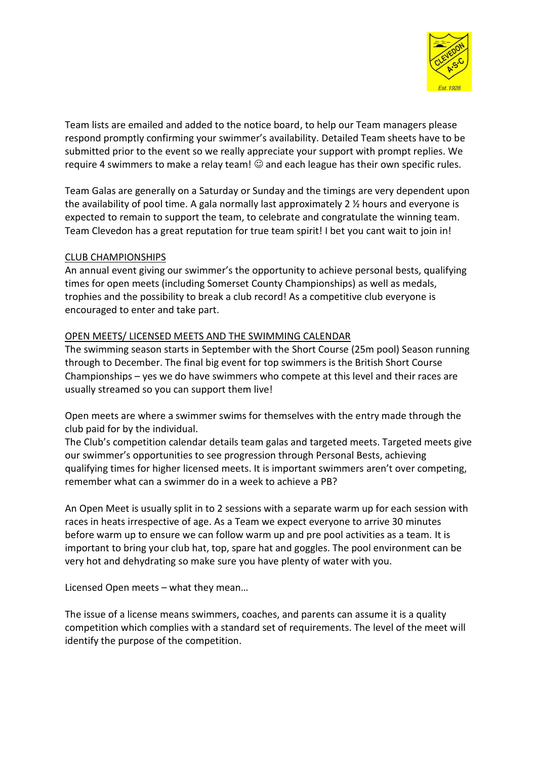

Team lists are emailed and added to the notice board, to help our Team managers please respond promptly confirming your swimmer's availability. Detailed Team sheets have to be submitted prior to the event so we really appreciate your support with prompt replies. We require 4 swimmers to make a relay team!  $\odot$  and each league has their own specific rules.

Team Galas are generally on a Saturday or Sunday and the timings are very dependent upon the availability of pool time. A gala normally last approximately 2 ½ hours and everyone is expected to remain to support the team, to celebrate and congratulate the winning team. Team Clevedon has a great reputation for true team spirit! I bet you cant wait to join in!

### CLUB CHAMPIONSHIPS

An annual event giving our swimmer's the opportunity to achieve personal bests, qualifying times for open meets (including Somerset County Championships) as well as medals, trophies and the possibility to break a club record! As a competitive club everyone is encouraged to enter and take part.

### OPEN MEETS/ LICENSED MEETS AND THE SWIMMING CALENDAR

The swimming season starts in September with the Short Course (25m pool) Season running through to December. The final big event for top swimmers is the British Short Course Championships – yes we do have swimmers who compete at this level and their races are usually streamed so you can support them live!

Open meets are where a swimmer swims for themselves with the entry made through the club paid for by the individual.

The Club's competition calendar details team galas and targeted meets. Targeted meets give our swimmer's opportunities to see progression through Personal Bests, achieving qualifying times for higher licensed meets. It is important swimmers aren't over competing, remember what can a swimmer do in a week to achieve a PB?

An Open Meet is usually split in to 2 sessions with a separate warm up for each session with races in heats irrespective of age. As a Team we expect everyone to arrive 30 minutes before warm up to ensure we can follow warm up and pre pool activities as a team. It is important to bring your club hat, top, spare hat and goggles. The pool environment can be very hot and dehydrating so make sure you have plenty of water with you.

Licensed Open meets – what they mean…

The issue of a license means swimmers, coaches, and parents can assume it is a quality competition which complies with a standard set of requirements. The level of the meet will identify the purpose of the competition.